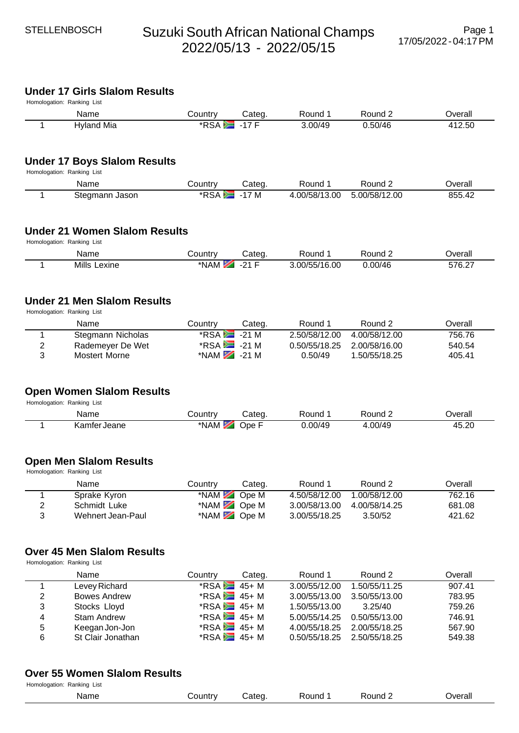# **Under 17 Girls Slalom Results**

| Homologation: Ranking List |            |          |        |         |         |                 |  |  |
|----------------------------|------------|----------|--------|---------|---------|-----------------|--|--|
|                            | Name       | ا ountr∨ | Categ. | Round   | Round 2 | <b>T</b> verall |  |  |
|                            | Hyland Mia | *RSA     | 17L    | 3.00/49 | 0.50/46 | 412.50          |  |  |

## **Under 17 Boys Slalom Results**

Homologation: Ranking List

| Name              | Countr∨      | .ateq    | Round        | Round                    | ⊃verall |
|-------------------|--------------|----------|--------------|--------------------------|---------|
| Steɑmann<br>Jason | $*DC$<br>RSA | M<br>- 1 | .00/58/13.00 | .00/58/12.<br>12.00<br>5 | ـ855.4  |

## **Under 21 Women Slalom Results**

Homologation: Ranking List

| Name            | ∟ountryٽ | Cated | ≺ound                        | Round   | ⊃verall          |
|-----------------|----------|-------|------------------------------|---------|------------------|
| Mills<br>Lexine | *NAM     | ດ⊿ ⊏  | 3.00/55/7<br>6.00،<br>$\sim$ | 0.00/46 | 576.27<br>$\sim$ |

## **Under 21 Men Slalom Results**

Homologation: Ranking List

|   | Name              | Countrv                     | Cateɑ. | Round 1                     | Round 2       | Overall |
|---|-------------------|-----------------------------|--------|-----------------------------|---------------|---------|
|   | Stegmann Nicholas | $*RSA$ -21 M                |        | 2.50/58/12.00               | 4.00/58/12.00 | 756.76  |
|   | Rademeyer De Wet  | $*$ RSA $\blacksquare$ 21 M |        | 0.50/55/18.25 2.00/58/16.00 |               | 540.54  |
| 3 | Mostert Morne     | *NAM $\approx$ -21 M        |        | 0.50/49                     | 1.50/55/18.25 | 405.41  |

#### **Open Women Slalom Results**

Homologation: Ranking List

| Name                   | `ountr∨ | ∵ated | ound: | १ound 2             | <b>Exercil</b>              |
|------------------------|---------|-------|-------|---------------------|-----------------------------|
| √amter<br>Jeane<br>٦d١ | *NAM    | Ope   | 00/4c | $\cap$<br>740.<br>ᅮ | ട വ<br>⊿ ⊢<br>40.ZU<br>____ |

## **Open Men Slalom Results**

Homologation: Ranking List

|   | Name              | Countrv    | Categ. | Round 1       | Round 2       | Overall |
|---|-------------------|------------|--------|---------------|---------------|---------|
|   | Sprake Kyron      | *NAM Ope M |        | 4.50/58/12.00 | 1.00/58/12.00 | 762.16  |
|   | Schmidt Luke      | *NAM Ope M |        | 3.00/58/13.00 | 4.00/58/14.25 | 681.08  |
| 3 | Wehnert Jean-Paul | *NAM Ope M |        | 3.00/55/18.25 | 3.50/52       | 421.62  |

## **Over 45 Men Slalom Results**

Homologation: Ranking List

|   | Name                | Country                      | Categ. | Round 1                     | Round 2       | Overall |
|---|---------------------|------------------------------|--------|-----------------------------|---------------|---------|
|   | Levey Richard       | $*RSA = 45 + M$              |        | 3.00/55/12.00               | 1.50/55/11.25 | 907.41  |
| 2 | <b>Bowes Andrew</b> | $*$ RSA $\blacksquare$ 45+ M |        | 3.00/55/13.00               | 3.50/55/13.00 | 783.95  |
| 3 | Stocks Lloyd        | $*RSA = 45 + M$              |        | 1.50/55/13.00               | 3.25/40       | 759.26  |
| 4 | Stam Andrew         | $*$ RSA $\overline{=}$ 45+ M |        | 5.00/55/14.25               | 0.50/55/13.00 | 746.91  |
| 5 | Keegan Jon-Jon      | $*RSA = 45 + M$              |        | 4.00/55/18.25               | 2.00/55/18.25 | 567.90  |
| 6 | St Clair Jonathan   | $*$ RSA $\blacksquare$ 45+ M |        | 0.50/55/18.25 2.50/55/18.25 |               | 549.38  |

#### **Over 55 Women Slalom Results**

| Homologation: Ranking List |         |       |       |       |         |
|----------------------------|---------|-------|-------|-------|---------|
| Name                       | `ountry | `ate∩ | Round | रound | ว∨erall |